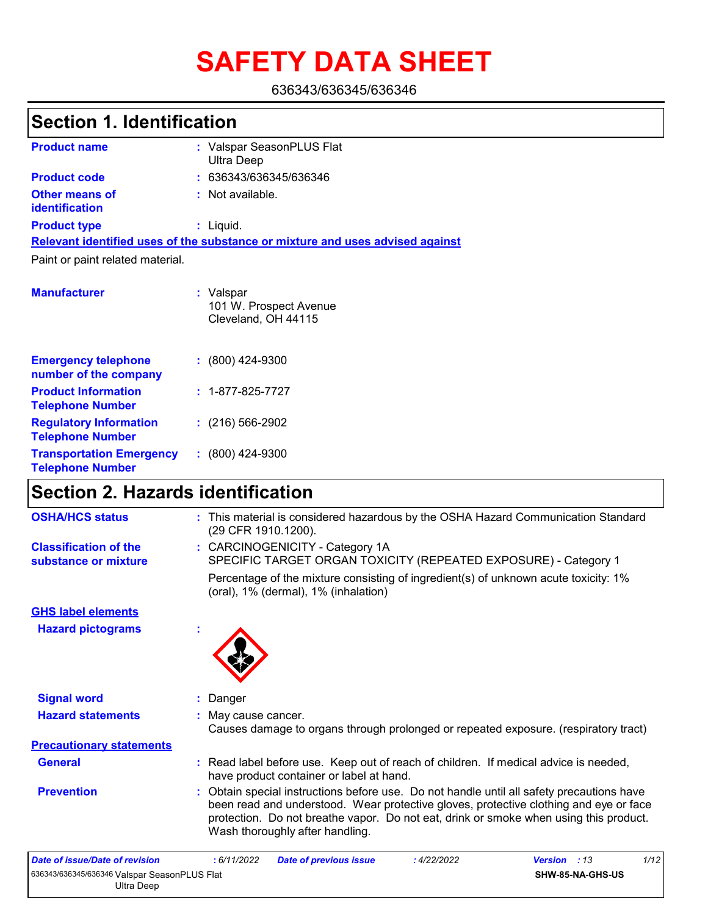# **SAFETY DATA SHEET**

636343/636345/636346

## **Section 1. Identification**

| <b>Product name</b>                            | : Valspar SeasonPLUS Flat<br>Ultra Deep                                       |
|------------------------------------------------|-------------------------------------------------------------------------------|
| <b>Product code</b>                            | : 636343/636345/636346                                                        |
| <b>Other means of</b><br><i>identification</i> | : Not available.                                                              |
| <b>Product type</b>                            | $:$ Liquid.                                                                   |
|                                                | Relevant identified uses of the substance or mixture and uses advised against |
| Paint or paint related material.               |                                                                               |
|                                                |                                                                               |

| <b>Manufacturer</b>                                        | : Valspar<br>101 W. Prospect Avenue<br>Cleveland, OH 44115 |
|------------------------------------------------------------|------------------------------------------------------------|
| <b>Emergency telephone</b><br>number of the company        | $: (800)$ 424-9300                                         |
| <b>Product Information</b><br><b>Telephone Number</b>      | $: 1 - 877 - 825 - 7727$                                   |
| <b>Regulatory Information</b><br><b>Telephone Number</b>   | $: (216) 566 - 2902$                                       |
| <b>Transportation Emergency</b><br><b>Telephone Number</b> | $: (800)$ 424-9300                                         |

### **Section 2. Hazards identification**

| <b>OSHA/HCS status</b>                               |   | : This material is considered hazardous by the OSHA Hazard Communication Standard<br>(29 CFR 1910.1200).                                                                                                                                                                                                       |
|------------------------------------------------------|---|----------------------------------------------------------------------------------------------------------------------------------------------------------------------------------------------------------------------------------------------------------------------------------------------------------------|
| <b>Classification of the</b><br>substance or mixture |   | : CARCINOGENICITY - Category 1A<br>SPECIFIC TARGET ORGAN TOXICITY (REPEATED EXPOSURE) - Category 1                                                                                                                                                                                                             |
|                                                      |   | Percentage of the mixture consisting of ingredient(s) of unknown acute toxicity: 1%<br>(oral), 1% (dermal), 1% (inhalation)                                                                                                                                                                                    |
| <b>GHS label elements</b>                            |   |                                                                                                                                                                                                                                                                                                                |
| <b>Hazard pictograms</b>                             | ÷ |                                                                                                                                                                                                                                                                                                                |
| <b>Signal word</b>                                   |   | : Danger                                                                                                                                                                                                                                                                                                       |
| <b>Hazard statements</b>                             |   | May cause cancer.<br>Causes damage to organs through prolonged or repeated exposure. (respiratory tract)                                                                                                                                                                                                       |
| <b>Precautionary statements</b>                      |   |                                                                                                                                                                                                                                                                                                                |
| <b>General</b>                                       |   | : Read label before use. Keep out of reach of children. If medical advice is needed,<br>have product container or label at hand.                                                                                                                                                                               |
| <b>Prevention</b>                                    |   | : Obtain special instructions before use. Do not handle until all safety precautions have<br>been read and understood. Wear protective gloves, protective clothing and eye or face<br>protection. Do not breathe vapor. Do not eat, drink or smoke when using this product.<br>Wash thoroughly after handling. |
|                                                      |   |                                                                                                                                                                                                                                                                                                                |

| Date of issue/Date of revision               | : 6/11/2022 | <b>Date of previous issue</b> | : 4/22/2022 | <b>Version</b> : 13     | 1/12 |
|----------------------------------------------|-------------|-------------------------------|-------------|-------------------------|------|
| 636343/636345/636346 Valspar SeasonPLUS Flat |             |                               |             | <b>SHW-85-NA-GHS-US</b> |      |
| Ultra Deep                                   |             |                               |             |                         |      |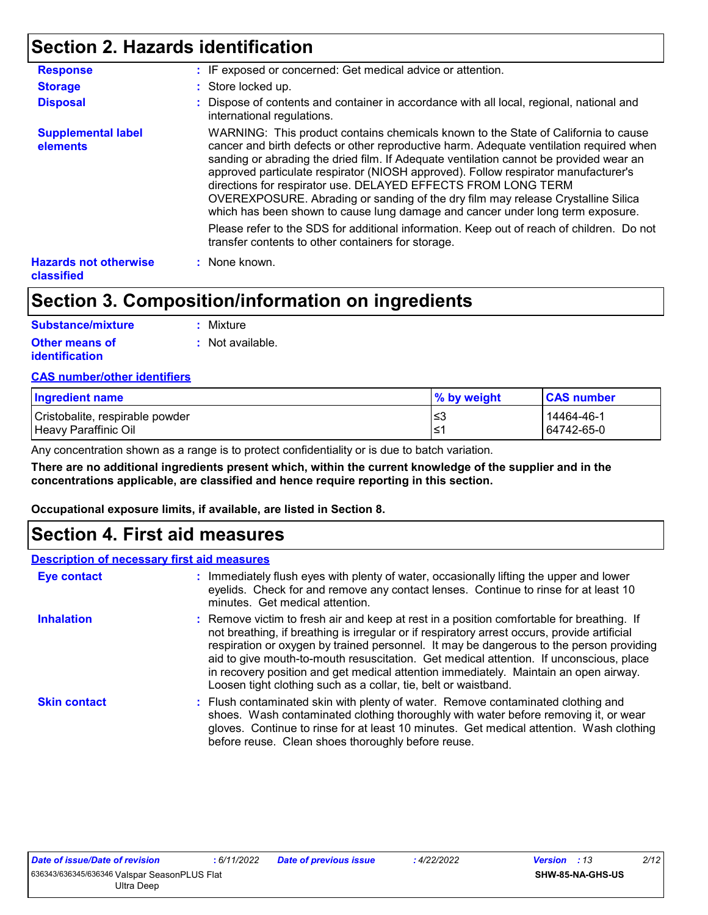### **Section 2. Hazards identification**

| <b>Response</b>                                   | : IF exposed or concerned: Get medical advice or attention.                                                                                                                                                                                                                                                                                                                                                                                                                                                                                                                                          |
|---------------------------------------------------|------------------------------------------------------------------------------------------------------------------------------------------------------------------------------------------------------------------------------------------------------------------------------------------------------------------------------------------------------------------------------------------------------------------------------------------------------------------------------------------------------------------------------------------------------------------------------------------------------|
| <b>Storage</b>                                    | : Store locked up.                                                                                                                                                                                                                                                                                                                                                                                                                                                                                                                                                                                   |
| <b>Disposal</b>                                   | : Dispose of contents and container in accordance with all local, regional, national and<br>international regulations.                                                                                                                                                                                                                                                                                                                                                                                                                                                                               |
| <b>Supplemental label</b><br>elements             | WARNING: This product contains chemicals known to the State of California to cause<br>cancer and birth defects or other reproductive harm. Adequate ventilation required when<br>sanding or abrading the dried film. If Adequate ventilation cannot be provided wear an<br>approved particulate respirator (NIOSH approved). Follow respirator manufacturer's<br>directions for respirator use. DELAYED EFFECTS FROM LONG TERM<br>OVEREXPOSURE. Abrading or sanding of the dry film may release Crystalline Silica<br>which has been shown to cause lung damage and cancer under long term exposure. |
|                                                   | Please refer to the SDS for additional information. Keep out of reach of children. Do not<br>transfer contents to other containers for storage.                                                                                                                                                                                                                                                                                                                                                                                                                                                      |
| <b>Hazards not otherwise</b><br><b>classified</b> | : None known.                                                                                                                                                                                                                                                                                                                                                                                                                                                                                                                                                                                        |

### **Section 3. Composition/information on ingredients**

| <b>Substance/mixture</b> | : Mixture        |
|--------------------------|------------------|
| <b>Other means of</b>    | : Not available. |
| identification           |                  |

#### **CAS number/other identifiers**

| Ingredient name                 | % by weight | <b>CAS number</b> |
|---------------------------------|-------------|-------------------|
| Cristobalite, respirable powder | ≤3          | 14464-46-1        |
| Heavy Paraffinic Oil            | ^≥،         | 64742-65-0        |

Any concentration shown as a range is to protect confidentiality or is due to batch variation.

**There are no additional ingredients present which, within the current knowledge of the supplier and in the concentrations applicable, are classified and hence require reporting in this section.**

**Occupational exposure limits, if available, are listed in Section 8.**

### **Section 4. First aid measures**

#### **Description of necessary first aid measures**

| <b>Eye contact</b>  | : Immediately flush eyes with plenty of water, occasionally lifting the upper and lower<br>eyelids. Check for and remove any contact lenses. Continue to rinse for at least 10<br>minutes. Get medical attention.                                                                                                                                                                                                                                                                                                                         |
|---------------------|-------------------------------------------------------------------------------------------------------------------------------------------------------------------------------------------------------------------------------------------------------------------------------------------------------------------------------------------------------------------------------------------------------------------------------------------------------------------------------------------------------------------------------------------|
| <b>Inhalation</b>   | : Remove victim to fresh air and keep at rest in a position comfortable for breathing. If<br>not breathing, if breathing is irregular or if respiratory arrest occurs, provide artificial<br>respiration or oxygen by trained personnel. It may be dangerous to the person providing<br>aid to give mouth-to-mouth resuscitation. Get medical attention. If unconscious, place<br>in recovery position and get medical attention immediately. Maintain an open airway.<br>Loosen tight clothing such as a collar, tie, belt or waistband. |
| <b>Skin contact</b> | : Flush contaminated skin with plenty of water. Remove contaminated clothing and<br>shoes. Wash contaminated clothing thoroughly with water before removing it, or wear<br>gloves. Continue to rinse for at least 10 minutes. Get medical attention. Wash clothing<br>before reuse. Clean shoes thoroughly before reuse.                                                                                                                                                                                                                  |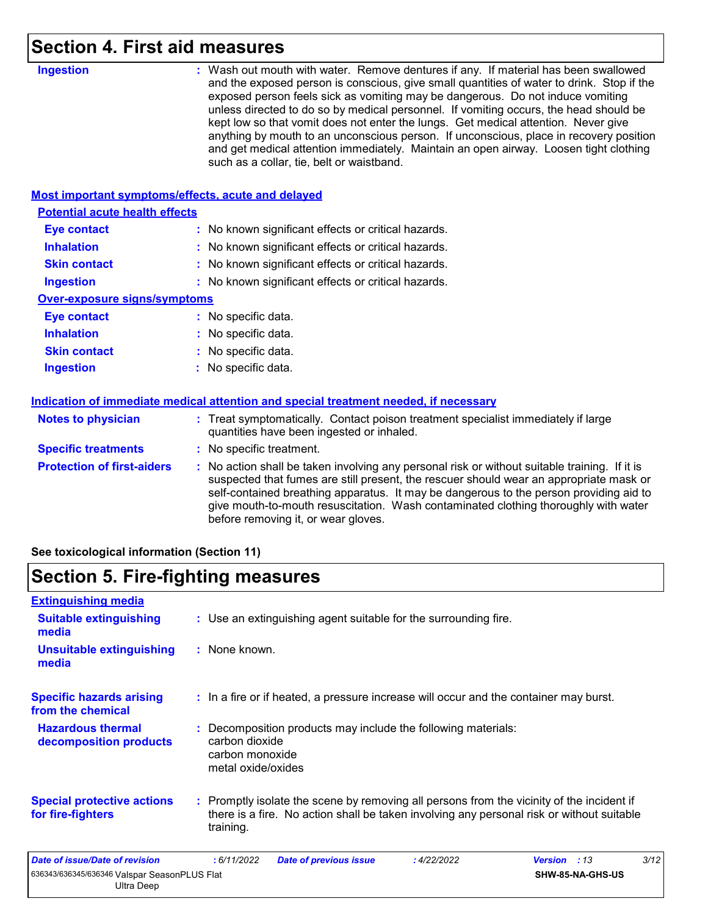### **Section 4. First aid measures**

| <b>Ingestion</b>                                   | : Wash out mouth with water. Remove dentures if any. If material has been swallowed<br>and the exposed person is conscious, give small quantities of water to drink. Stop if the<br>exposed person feels sick as vomiting may be dangerous. Do not induce vomiting<br>unless directed to do so by medical personnel. If vomiting occurs, the head should be<br>kept low so that vomit does not enter the lungs. Get medical attention. Never give<br>anything by mouth to an unconscious person. If unconscious, place in recovery position<br>and get medical attention immediately. Maintain an open airway. Loosen tight clothing<br>such as a collar, tie, belt or waistband. |
|----------------------------------------------------|-----------------------------------------------------------------------------------------------------------------------------------------------------------------------------------------------------------------------------------------------------------------------------------------------------------------------------------------------------------------------------------------------------------------------------------------------------------------------------------------------------------------------------------------------------------------------------------------------------------------------------------------------------------------------------------|
| Most important symptoms/effects, acute and delayed |                                                                                                                                                                                                                                                                                                                                                                                                                                                                                                                                                                                                                                                                                   |
| <b>Potential acute health effects</b>              |                                                                                                                                                                                                                                                                                                                                                                                                                                                                                                                                                                                                                                                                                   |
| <b>Eye contact</b>                                 | : No known significant effects or critical hazards.                                                                                                                                                                                                                                                                                                                                                                                                                                                                                                                                                                                                                               |
| <b>Inhalation</b>                                  | No known significant effects or critical hazards.                                                                                                                                                                                                                                                                                                                                                                                                                                                                                                                                                                                                                                 |
| <b>Skin contact</b>                                | : No known significant effects or critical hazards.                                                                                                                                                                                                                                                                                                                                                                                                                                                                                                                                                                                                                               |
| <b>Ingestion</b>                                   | : No known significant effects or critical hazards.                                                                                                                                                                                                                                                                                                                                                                                                                                                                                                                                                                                                                               |
| <b>Over-exposure signs/symptoms</b>                |                                                                                                                                                                                                                                                                                                                                                                                                                                                                                                                                                                                                                                                                                   |
| <b>Eye contact</b>                                 | : No specific data.                                                                                                                                                                                                                                                                                                                                                                                                                                                                                                                                                                                                                                                               |
| <b>Inhalation</b>                                  | No specific data.                                                                                                                                                                                                                                                                                                                                                                                                                                                                                                                                                                                                                                                                 |
| <b>Skin contact</b>                                | : No specific data.                                                                                                                                                                                                                                                                                                                                                                                                                                                                                                                                                                                                                                                               |
| <b>Ingestion</b>                                   | : No specific data.                                                                                                                                                                                                                                                                                                                                                                                                                                                                                                                                                                                                                                                               |
|                                                    | Indication of immediate medical attention and special treatment needed, if necessary                                                                                                                                                                                                                                                                                                                                                                                                                                                                                                                                                                                              |
| <b>Notes to physician</b>                          | : Treat symptomatically. Contact poison treatment specialist immediately if large<br>quantities have been ingested or inhaled.                                                                                                                                                                                                                                                                                                                                                                                                                                                                                                                                                    |
| <b>Specific treatments</b>                         | : No specific treatment.                                                                                                                                                                                                                                                                                                                                                                                                                                                                                                                                                                                                                                                          |
| <b>Protection of first-aiders</b>                  | : No action shall be taken involving any personal risk or without suitable training. If it is<br>suspected that fumes are still present, the rescuer should wear an appropriate mask or<br>self-contained breathing apparatus. It may be dangerous to the person providing aid to<br>give mouth-to-mouth resuscitation. Wash contaminated clothing thoroughly with water<br>before removing it, or wear gloves.                                                                                                                                                                                                                                                                   |
|                                                    |                                                                                                                                                                                                                                                                                                                                                                                                                                                                                                                                                                                                                                                                                   |

**See toxicological information (Section 11)**

## **Section 5. Fire-fighting measures**

| <b>Extinguishing media</b>                                 |                                                                                                                                                                                                     |                      |
|------------------------------------------------------------|-----------------------------------------------------------------------------------------------------------------------------------------------------------------------------------------------------|----------------------|
| <b>Suitable extinguishing</b><br>media                     | : Use an extinguishing agent suitable for the surrounding fire.                                                                                                                                     |                      |
| <b>Unsuitable extinguishing</b><br>media                   | : None known.                                                                                                                                                                                       |                      |
| <b>Specific hazards arising</b><br>from the chemical       | : In a fire or if heated, a pressure increase will occur and the container may burst.                                                                                                               |                      |
| <b>Hazardous thermal</b><br>decomposition products         | : Decomposition products may include the following materials:<br>carbon dioxide<br>carbon monoxide<br>metal oxide/oxides                                                                            |                      |
| <b>Special protective actions</b><br>for fire-fighters     | : Promptly isolate the scene by removing all persons from the vicinity of the incident if<br>there is a fire. No action shall be taken involving any personal risk or without suitable<br>training. |                      |
| Date of issue/Date of revision                             | : 6/11/2022<br>: 4/22/2022<br><b>Date of previous issue</b>                                                                                                                                         | 3/12<br>Version : 13 |
| 636343/636345/636346 Valspar SeasonPLUS Flat<br>Ultra Deep |                                                                                                                                                                                                     | SHW-85-NA-GHS-US     |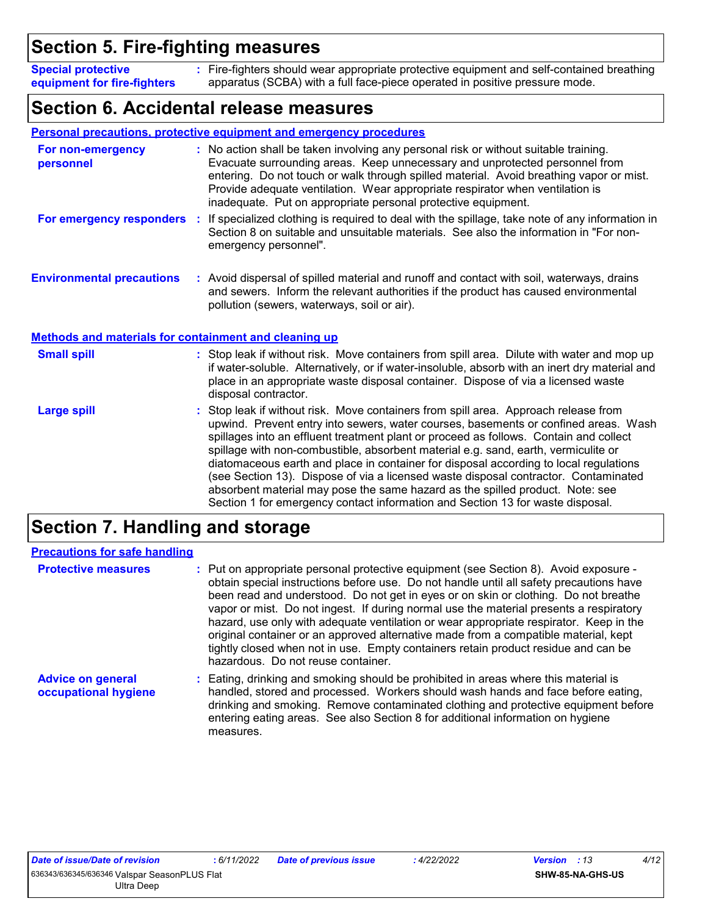### **Section 5. Fire-fighting measures**

Fire-fighters should wear appropriate protective equipment and self-contained breathing **:** apparatus (SCBA) with a full face-piece operated in positive pressure mode. **Special protective equipment for fire-fighters**

### **Section 6. Accidental release measures**

|                                                              | Personal precautions, protective equipment and emergency procedures                                                                                                                                                                                                                                                                                                                                                                                                                                                                                                                                                                                                                                        |
|--------------------------------------------------------------|------------------------------------------------------------------------------------------------------------------------------------------------------------------------------------------------------------------------------------------------------------------------------------------------------------------------------------------------------------------------------------------------------------------------------------------------------------------------------------------------------------------------------------------------------------------------------------------------------------------------------------------------------------------------------------------------------------|
| For non-emergency<br>personnel                               | : No action shall be taken involving any personal risk or without suitable training.<br>Evacuate surrounding areas. Keep unnecessary and unprotected personnel from<br>entering. Do not touch or walk through spilled material. Avoid breathing vapor or mist.<br>Provide adequate ventilation. Wear appropriate respirator when ventilation is<br>inadequate. Put on appropriate personal protective equipment.                                                                                                                                                                                                                                                                                           |
| For emergency responders                                     | If specialized clothing is required to deal with the spillage, take note of any information in<br>÷.<br>Section 8 on suitable and unsuitable materials. See also the information in "For non-<br>emergency personnel".                                                                                                                                                                                                                                                                                                                                                                                                                                                                                     |
| <b>Environmental precautions</b>                             | : Avoid dispersal of spilled material and runoff and contact with soil, waterways, drains<br>and sewers. Inform the relevant authorities if the product has caused environmental<br>pollution (sewers, waterways, soil or air).                                                                                                                                                                                                                                                                                                                                                                                                                                                                            |
| <b>Methods and materials for containment and cleaning up</b> |                                                                                                                                                                                                                                                                                                                                                                                                                                                                                                                                                                                                                                                                                                            |
| <b>Small spill</b>                                           | : Stop leak if without risk. Move containers from spill area. Dilute with water and mop up<br>if water-soluble. Alternatively, or if water-insoluble, absorb with an inert dry material and<br>place in an appropriate waste disposal container. Dispose of via a licensed waste<br>disposal contractor.                                                                                                                                                                                                                                                                                                                                                                                                   |
| <b>Large spill</b>                                           | Stop leak if without risk. Move containers from spill area. Approach release from<br>upwind. Prevent entry into sewers, water courses, basements or confined areas. Wash<br>spillages into an effluent treatment plant or proceed as follows. Contain and collect<br>spillage with non-combustible, absorbent material e.g. sand, earth, vermiculite or<br>diatomaceous earth and place in container for disposal according to local regulations<br>(see Section 13). Dispose of via a licensed waste disposal contractor. Contaminated<br>absorbent material may pose the same hazard as the spilled product. Note: see<br>Section 1 for emergency contact information and Section 13 for waste disposal. |

### **Section 7. Handling and storage**

| <b>Precautions for safe handling</b>             |                                                                                                                                                                                                                                                                                                                                                                                                                                                                                                                                                                                                                                                                               |
|--------------------------------------------------|-------------------------------------------------------------------------------------------------------------------------------------------------------------------------------------------------------------------------------------------------------------------------------------------------------------------------------------------------------------------------------------------------------------------------------------------------------------------------------------------------------------------------------------------------------------------------------------------------------------------------------------------------------------------------------|
| <b>Protective measures</b>                       | : Put on appropriate personal protective equipment (see Section 8). Avoid exposure -<br>obtain special instructions before use. Do not handle until all safety precautions have<br>been read and understood. Do not get in eyes or on skin or clothing. Do not breathe<br>vapor or mist. Do not ingest. If during normal use the material presents a respiratory<br>hazard, use only with adequate ventilation or wear appropriate respirator. Keep in the<br>original container or an approved alternative made from a compatible material, kept<br>tightly closed when not in use. Empty containers retain product residue and can be<br>hazardous. Do not reuse container. |
| <b>Advice on general</b><br>occupational hygiene | : Eating, drinking and smoking should be prohibited in areas where this material is<br>handled, stored and processed. Workers should wash hands and face before eating,<br>drinking and smoking. Remove contaminated clothing and protective equipment before<br>entering eating areas. See also Section 8 for additional information on hygiene<br>measures.                                                                                                                                                                                                                                                                                                                 |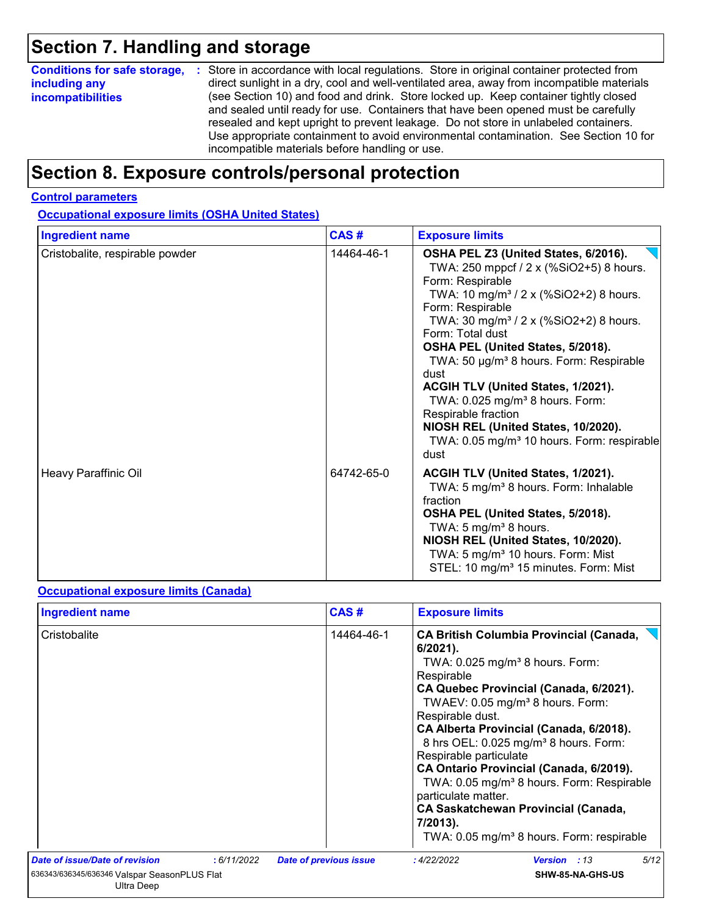### **Section 7. Handling and storage**

| <b>Conditions for safe storage,</b> | : Store in accordance with local regulations. Store in original container protected from                                                                                                                                                                                                                                                                                                                   |
|-------------------------------------|------------------------------------------------------------------------------------------------------------------------------------------------------------------------------------------------------------------------------------------------------------------------------------------------------------------------------------------------------------------------------------------------------------|
| including any                       | direct sunlight in a dry, cool and well-ventilated area, away from incompatible materials                                                                                                                                                                                                                                                                                                                  |
| <b>incompatibilities</b>            | (see Section 10) and food and drink. Store locked up. Keep container tightly closed<br>and sealed until ready for use. Containers that have been opened must be carefully<br>resealed and kept upright to prevent leakage. Do not store in unlabeled containers.<br>Use appropriate containment to avoid environmental contamination. See Section 10 for<br>incompatible materials before handling or use. |

### **Section 8. Exposure controls/personal protection**

#### **Control parameters**

**Occupational exposure limits (OSHA United States)**

| <b>Ingredient name</b>          | CAS#       | <b>Exposure limits</b>                                                                                                                                                                                                                                                                                                                                                                                                                                                                                                                                                                  |  |  |
|---------------------------------|------------|-----------------------------------------------------------------------------------------------------------------------------------------------------------------------------------------------------------------------------------------------------------------------------------------------------------------------------------------------------------------------------------------------------------------------------------------------------------------------------------------------------------------------------------------------------------------------------------------|--|--|
| Cristobalite, respirable powder | 14464-46-1 | OSHA PEL Z3 (United States, 6/2016).<br>TWA: 250 mppcf / 2 x (%SiO2+5) 8 hours.<br>Form: Respirable<br>TWA: 10 mg/m <sup>3</sup> / 2 x (%SiO2+2) 8 hours.<br>Form: Respirable<br>TWA: 30 mg/m <sup>3</sup> / 2 x (%SiO2+2) 8 hours.<br>Form: Total dust<br>OSHA PEL (United States, 5/2018).<br>TWA: 50 µg/m <sup>3</sup> 8 hours. Form: Respirable<br>dust<br><b>ACGIH TLV (United States, 1/2021).</b><br>TWA: 0.025 mg/m <sup>3</sup> 8 hours. Form:<br>Respirable fraction<br>NIOSH REL (United States, 10/2020).<br>TWA: 0.05 mg/m <sup>3</sup> 10 hours. Form: respirable<br>dust |  |  |
| Heavy Paraffinic Oil            | 64742-65-0 | ACGIH TLV (United States, 1/2021).<br>TWA: 5 mg/m <sup>3</sup> 8 hours. Form: Inhalable<br>fraction<br>OSHA PEL (United States, 5/2018).<br>TWA: 5 mg/m <sup>3</sup> 8 hours.<br>NIOSH REL (United States, 10/2020).<br>TWA: 5 mg/m <sup>3</sup> 10 hours. Form: Mist<br>STEL: 10 mg/m <sup>3</sup> 15 minutes. Form: Mist                                                                                                                                                                                                                                                              |  |  |

#### **Occupational exposure limits (Canada)**

| CAS#<br><b>Ingredient name</b><br><b>Exposure limits</b> |             |                               |                                                                                                                                                                                                                                                                                                                                                                                                                                                                                                                                                                                                                    |  |  |
|----------------------------------------------------------|-------------|-------------------------------|--------------------------------------------------------------------------------------------------------------------------------------------------------------------------------------------------------------------------------------------------------------------------------------------------------------------------------------------------------------------------------------------------------------------------------------------------------------------------------------------------------------------------------------------------------------------------------------------------------------------|--|--|
| Cristobalite                                             |             | 14464-46-1                    | <b>CA British Columbia Provincial (Canada,</b><br>$6/2021$ ).<br>TWA: $0.025$ mg/m <sup>3</sup> 8 hours. Form:<br>Respirable<br>CA Quebec Provincial (Canada, 6/2021).<br>TWAEV: 0.05 mg/m <sup>3</sup> 8 hours. Form:<br>Respirable dust.<br>CA Alberta Provincial (Canada, 6/2018).<br>8 hrs OEL: 0.025 mg/m <sup>3</sup> 8 hours. Form:<br>Respirable particulate<br>CA Ontario Provincial (Canada, 6/2019).<br>TWA: 0.05 mg/m <sup>3</sup> 8 hours. Form: Respirable<br>particulate matter.<br><b>CA Saskatchewan Provincial (Canada,</b><br>7/2013).<br>TWA: 0.05 mg/m <sup>3</sup> 8 hours. Form: respirable |  |  |
| <b>Date of issue/Date of revision</b>                    | : 6/11/2022 | <b>Date of previous issue</b> | 5/12<br>:4/22/2022<br><b>Version</b> : 13                                                                                                                                                                                                                                                                                                                                                                                                                                                                                                                                                                          |  |  |
| Ultra Deep                                               |             |                               | SHW-85-NA-GHS-US                                                                                                                                                                                                                                                                                                                                                                                                                                                                                                                                                                                                   |  |  |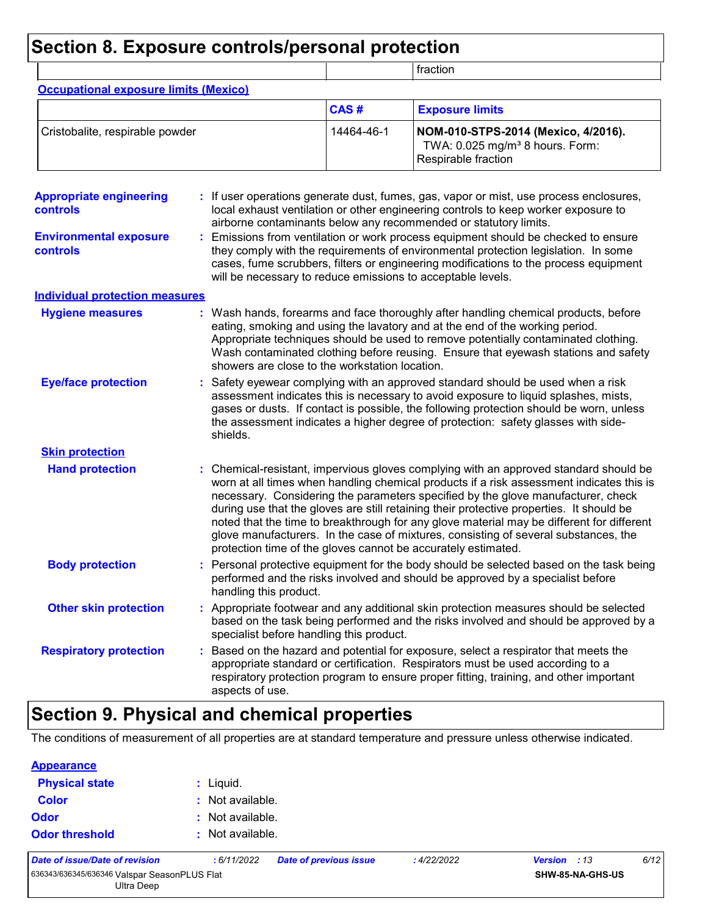### **Section 8. Exposure controls/personal protection**

|                                                   |  |                                                             |            | fraction                                                                                                                                                                                                                                                                                                                                                                                                                                                                                                                                                                                                             |
|---------------------------------------------------|--|-------------------------------------------------------------|------------|----------------------------------------------------------------------------------------------------------------------------------------------------------------------------------------------------------------------------------------------------------------------------------------------------------------------------------------------------------------------------------------------------------------------------------------------------------------------------------------------------------------------------------------------------------------------------------------------------------------------|
| <b>Occupational exposure limits (Mexico)</b>      |  |                                                             |            |                                                                                                                                                                                                                                                                                                                                                                                                                                                                                                                                                                                                                      |
|                                                   |  |                                                             | CAS#       | <b>Exposure limits</b>                                                                                                                                                                                                                                                                                                                                                                                                                                                                                                                                                                                               |
| Cristobalite, respirable powder                   |  |                                                             | 14464-46-1 | NOM-010-STPS-2014 (Mexico, 4/2016).<br>TWA: 0.025 mg/m <sup>3</sup> 8 hours. Form:<br>Respirable fraction                                                                                                                                                                                                                                                                                                                                                                                                                                                                                                            |
| <b>Appropriate engineering</b><br><b>controls</b> |  |                                                             |            | If user operations generate dust, fumes, gas, vapor or mist, use process enclosures,<br>local exhaust ventilation or other engineering controls to keep worker exposure to<br>airborne contaminants below any recommended or statutory limits.                                                                                                                                                                                                                                                                                                                                                                       |
| <b>Environmental exposure</b><br>controls         |  | will be necessary to reduce emissions to acceptable levels. |            | Emissions from ventilation or work process equipment should be checked to ensure<br>they comply with the requirements of environmental protection legislation. In some<br>cases, fume scrubbers, filters or engineering modifications to the process equipment                                                                                                                                                                                                                                                                                                                                                       |
| <b>Individual protection measures</b>             |  |                                                             |            |                                                                                                                                                                                                                                                                                                                                                                                                                                                                                                                                                                                                                      |
| <b>Hygiene measures</b>                           |  | showers are close to the workstation location.              |            | Wash hands, forearms and face thoroughly after handling chemical products, before<br>eating, smoking and using the lavatory and at the end of the working period.<br>Appropriate techniques should be used to remove potentially contaminated clothing.<br>Wash contaminated clothing before reusing. Ensure that eyewash stations and safety                                                                                                                                                                                                                                                                        |
| <b>Eye/face protection</b>                        |  | shields.                                                    |            | Safety eyewear complying with an approved standard should be used when a risk<br>assessment indicates this is necessary to avoid exposure to liquid splashes, mists,<br>gases or dusts. If contact is possible, the following protection should be worn, unless<br>the assessment indicates a higher degree of protection: safety glasses with side-                                                                                                                                                                                                                                                                 |
| <b>Skin protection</b>                            |  |                                                             |            |                                                                                                                                                                                                                                                                                                                                                                                                                                                                                                                                                                                                                      |
| <b>Hand protection</b>                            |  |                                                             |            | Chemical-resistant, impervious gloves complying with an approved standard should be<br>worn at all times when handling chemical products if a risk assessment indicates this is<br>necessary. Considering the parameters specified by the glove manufacturer, check<br>during use that the gloves are still retaining their protective properties. It should be<br>noted that the time to breakthrough for any glove material may be different for different<br>glove manufacturers. In the case of mixtures, consisting of several substances, the<br>protection time of the gloves cannot be accurately estimated. |
| <b>Body protection</b>                            |  | handling this product.                                      |            | Personal protective equipment for the body should be selected based on the task being<br>performed and the risks involved and should be approved by a specialist before                                                                                                                                                                                                                                                                                                                                                                                                                                              |
| <b>Other skin protection</b>                      |  | specialist before handling this product.                    |            | Appropriate footwear and any additional skin protection measures should be selected<br>based on the task being performed and the risks involved and should be approved by a                                                                                                                                                                                                                                                                                                                                                                                                                                          |
| <b>Respiratory protection</b>                     |  | aspects of use.                                             |            | Based on the hazard and potential for exposure, select a respirator that meets the<br>appropriate standard or certification. Respirators must be used according to a<br>respiratory protection program to ensure proper fitting, training, and other important                                                                                                                                                                                                                                                                                                                                                       |

### **Section 9. Physical and chemical properties**

The conditions of measurement of all properties are at standard temperature and pressure unless otherwise indicated.

| <b>Appearance</b>     |                    |
|-----------------------|--------------------|
| <b>Physical state</b> | $:$ Liquid.        |
| <b>Color</b>          | $:$ Not available. |
| Odor                  | : Not available.   |
| <b>Odor threshold</b> | : Not available.   |

*Date of issue/Date of revision* **:** *6/11/2022 Date of previous issue : 4/22/2022 Version : 13 6/12*

636343/636345/636346 Valspar SeasonPLUS Flat Ultra Deep

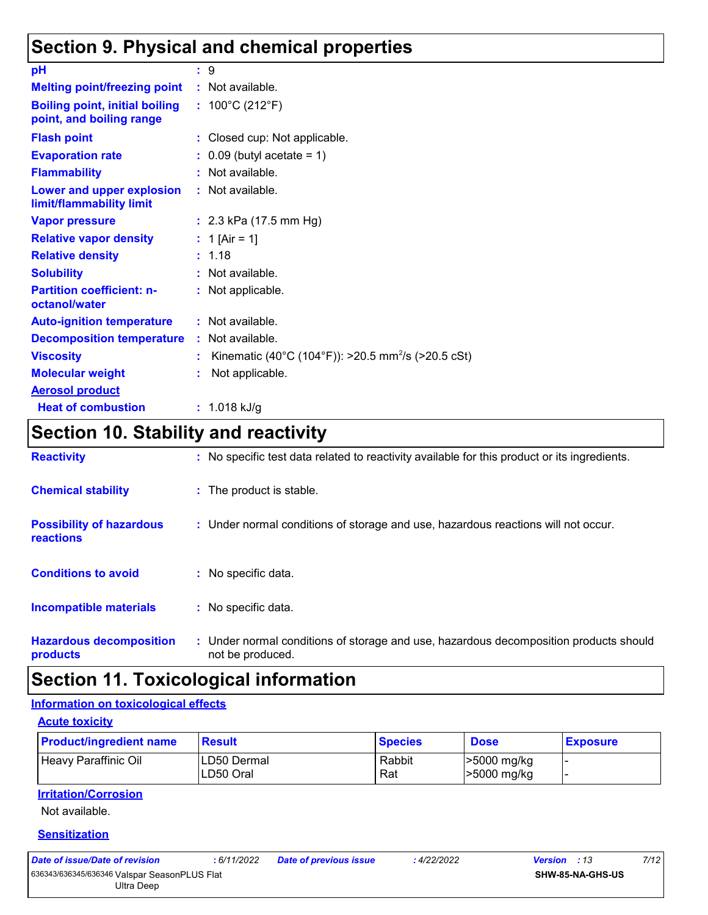### **Section 9. Physical and chemical properties**

| рH                                                                | : 9                                                            |
|-------------------------------------------------------------------|----------------------------------------------------------------|
| <b>Melting point/freezing point</b>                               | : Not available.                                               |
| <b>Boiling point, initial boiling</b><br>point, and boiling range | : $100^{\circ}$ C (212 $^{\circ}$ F)                           |
| <b>Flash point</b>                                                | : Closed cup: Not applicable.                                  |
| <b>Evaporation rate</b>                                           | $\therefore$ 0.09 (butyl acetate = 1)                          |
| <b>Flammability</b>                                               | : Not available.                                               |
| Lower and upper explosion<br>limit/flammability limit             | : Not available.                                               |
| <b>Vapor pressure</b>                                             | : $2.3$ kPa (17.5 mm Hg)                                       |
| <b>Relative vapor density</b>                                     | : 1 [Air = 1]                                                  |
| <b>Relative density</b>                                           | : 1.18                                                         |
| <b>Solubility</b>                                                 | : Not available.                                               |
| <b>Partition coefficient: n-</b><br>octanol/water                 | : Not applicable.                                              |
| <b>Auto-ignition temperature</b>                                  | : Not available.                                               |
| <b>Decomposition temperature</b>                                  | : Not available.                                               |
| <b>Viscosity</b>                                                  | Kinematic (40°C (104°F)): >20.5 mm <sup>2</sup> /s (>20.5 cSt) |
| <b>Molecular weight</b>                                           | Not applicable.                                                |
| <b>Aerosol product</b>                                            |                                                                |
| <b>Heat of combustion</b>                                         | $: 1.018$ kJ/g                                                 |

### **Section 10. Stability and reactivity**

| <b>Reactivity</b>                                   | : No specific test data related to reactivity available for this product or its ingredients.              |
|-----------------------------------------------------|-----------------------------------------------------------------------------------------------------------|
| <b>Chemical stability</b>                           | : The product is stable.                                                                                  |
| <b>Possibility of hazardous</b><br><b>reactions</b> | : Under normal conditions of storage and use, hazardous reactions will not occur.                         |
| <b>Conditions to avoid</b>                          | : No specific data.                                                                                       |
| <b>Incompatible materials</b>                       | : No specific data.                                                                                       |
| <b>Hazardous decomposition</b><br>products          | : Under normal conditions of storage and use, hazardous decomposition products should<br>not be produced. |

### **Section 11. Toxicological information**

#### **Information on toxicological effects**

| <b>Acute toxicity</b>                      |  |
|--------------------------------------------|--|
| <b>Daniel Contractor and South America</b> |  |

| <b>Product/ingredient name</b> | <b>Result</b>            | <b>Species</b> | <b>Dose</b>                | <b>Exposure</b> |
|--------------------------------|--------------------------|----------------|----------------------------|-----------------|
| Heavy Paraffinic Oil           | LD50 Dermal<br>LD50 Oral | Rabbit<br>Rat  | >5000 mg/kg<br>>5000 mg/kg |                 |

#### **Irritation/Corrosion**

Not available.

#### **Sensitization**

|--|

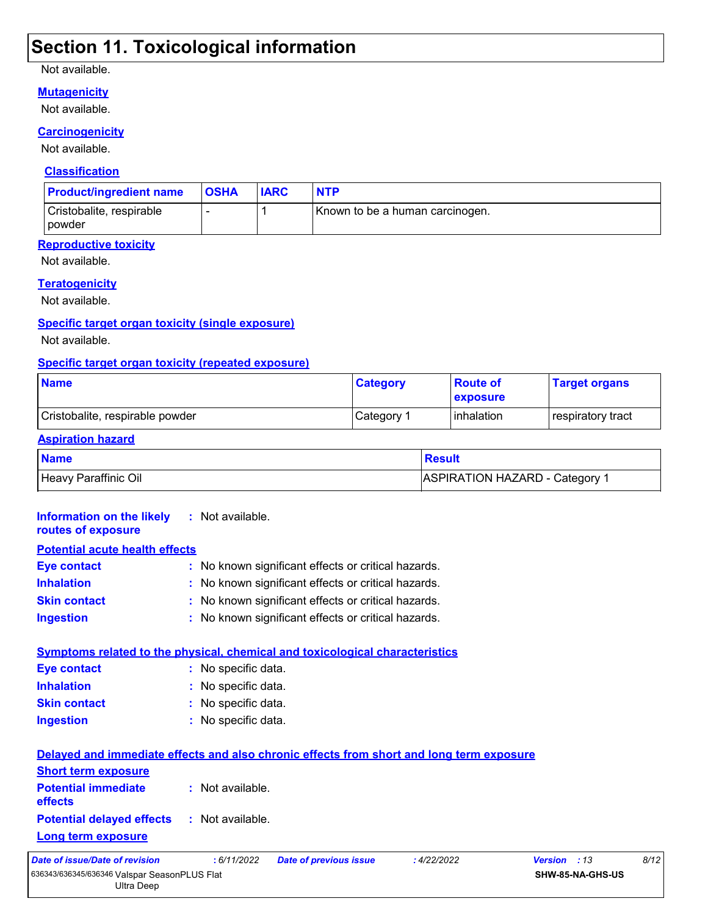### **Section 11. Toxicological information**

#### Not available.

#### **Mutagenicity**

Not available.

#### **Carcinogenicity**

Not available.

#### **Classification**

| <b>Product/ingredient name</b>            | <b>OSHA</b> | <b>IARC</b> | <b>NTP</b>                      |
|-------------------------------------------|-------------|-------------|---------------------------------|
| Cristobalite, respirable<br><b>Dowder</b> |             |             | Known to be a human carcinogen. |

### **Reproductive toxicity**

Not available.

#### **Teratogenicity**

Not available.

#### **Specific target organ toxicity (single exposure)**

Not available.

#### **Specific target organ toxicity (repeated exposure)**

| <b>Name</b>                     | <b>Category</b> | ∣Route of<br><b>exposure</b> | <b>Target organs</b> |
|---------------------------------|-----------------|------------------------------|----------------------|
| Cristobalite, respirable powder | Category 1      | <b>linhalation</b>           | respiratory tract    |

#### **Aspiration hazard**

| <b>Name</b>          | <b>Result</b>                  |
|----------------------|--------------------------------|
| Heavy Paraffinic Oil | ASPIRATION HAZARD - Category 1 |

#### **Information on the likely :** Not available.

| routes of exposure                    |                                                     |
|---------------------------------------|-----------------------------------------------------|
| <b>Potential acute health effects</b> |                                                     |
| <b>Eye contact</b>                    | : No known significant effects or critical hazards. |
| <b>Inhalation</b>                     | : No known significant effects or critical hazards. |
| <b>Skin contact</b>                   | : No known significant effects or critical hazards. |
| <b>Ingestion</b>                      | : No known significant effects or critical hazards. |

|                     | <b>Symptoms related to the physical, chemical and toxicological characteristics</b> |
|---------------------|-------------------------------------------------------------------------------------|
| Eye contact         | : No specific data.                                                                 |
| <b>Inhalation</b>   | : No specific data.                                                                 |
| <b>Skin contact</b> | : No specific data.                                                                 |
| <b>Ingestion</b>    | : No specific data.                                                                 |
|                     |                                                                                     |

| Delayed and immediate effects and also chronic effects from short and long term exposure |                  |                               |             |                     |      |
|------------------------------------------------------------------------------------------|------------------|-------------------------------|-------------|---------------------|------|
| <b>Short term exposure</b>                                                               |                  |                               |             |                     |      |
| <b>Potential immediate</b><br><b>effects</b>                                             | : Not available. |                               |             |                     |      |
| <b>Potential delayed effects</b><br><u>Long term exposure</u>                            | : Not available. |                               |             |                     |      |
| Date of issue/Date of revision                                                           | : 6/11/2022      | <b>Date of previous issue</b> | : 4/22/2022 | <b>Version</b> : 13 | 8/12 |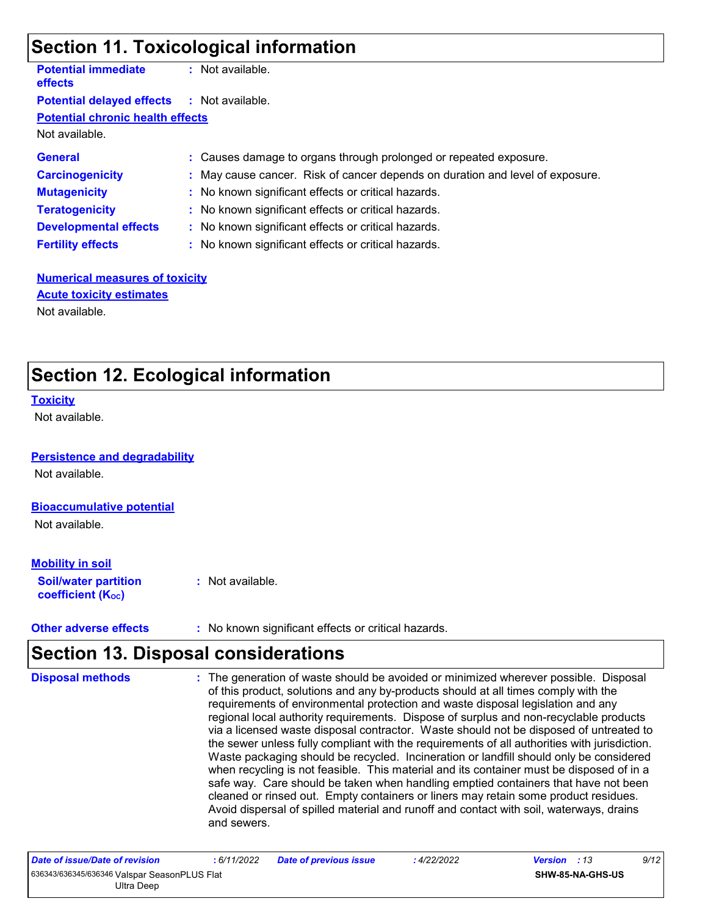### **Section 11. Toxicological information**

| <b>Potential immediate</b><br><b>effects</b>      | : Not available.                                                              |
|---------------------------------------------------|-------------------------------------------------------------------------------|
| <b>Potential delayed effects : Not available.</b> |                                                                               |
| <b>Potential chronic health effects</b>           |                                                                               |
| Not available.                                    |                                                                               |
| <b>General</b>                                    | : Causes damage to organs through prolonged or repeated exposure.             |
| <b>Carcinogenicity</b>                            | : May cause cancer. Risk of cancer depends on duration and level of exposure. |
| <b>Mutagenicity</b>                               | : No known significant effects or critical hazards.                           |
| <b>Teratogenicity</b>                             | : No known significant effects or critical hazards.                           |
| <b>Developmental effects</b>                      | : No known significant effects or critical hazards.                           |
| <b>Fertility effects</b>                          | : No known significant effects or critical hazards.                           |
|                                                   |                                                                               |

#### **Numerical measures of toxicity** Not available. **Acute toxicity estimates**

### **Section 12. Ecological information**

#### **Toxicity**

Not available.

#### **Persistence and degradability**

Not available.

#### **Bioaccumulative potential**

Not available.

#### **Mobility in soil**

**Soil/water partition coefficient (KOC) :** Not available.

**Other adverse effects** : No known significant effects or critical hazards.

### **Section 13. Disposal considerations**

| <b>Disposal methods</b> | : The generation of waste should be avoided or minimized wherever possible. Disposal<br>of this product, solutions and any by-products should at all times comply with the<br>requirements of environmental protection and waste disposal legislation and any<br>regional local authority requirements. Dispose of surplus and non-recyclable products<br>via a licensed waste disposal contractor. Waste should not be disposed of untreated to<br>the sewer unless fully compliant with the requirements of all authorities with jurisdiction.<br>Waste packaging should be recycled. Incineration or landfill should only be considered<br>when recycling is not feasible. This material and its container must be disposed of in a<br>safe way. Care should be taken when handling emptied containers that have not been<br>cleaned or rinsed out. Empty containers or liners may retain some product residues.<br>Avoid dispersal of spilled material and runoff and contact with soil, waterways, drains<br>and sewers. |
|-------------------------|-------------------------------------------------------------------------------------------------------------------------------------------------------------------------------------------------------------------------------------------------------------------------------------------------------------------------------------------------------------------------------------------------------------------------------------------------------------------------------------------------------------------------------------------------------------------------------------------------------------------------------------------------------------------------------------------------------------------------------------------------------------------------------------------------------------------------------------------------------------------------------------------------------------------------------------------------------------------------------------------------------------------------------|
|-------------------------|-------------------------------------------------------------------------------------------------------------------------------------------------------------------------------------------------------------------------------------------------------------------------------------------------------------------------------------------------------------------------------------------------------------------------------------------------------------------------------------------------------------------------------------------------------------------------------------------------------------------------------------------------------------------------------------------------------------------------------------------------------------------------------------------------------------------------------------------------------------------------------------------------------------------------------------------------------------------------------------------------------------------------------|

| Date of issue/Date of revision               | : 6/11/2022 | <b>Date of previous issue</b> | 4/22/2022 | 9/12<br><b>Version</b> : 13 |
|----------------------------------------------|-------------|-------------------------------|-----------|-----------------------------|
| 636343/636345/636346 Valspar SeasonPLUS Flat |             |                               |           | <b>SHW-85-NA-GHS-US</b>     |
| Ultra Deep                                   |             |                               |           |                             |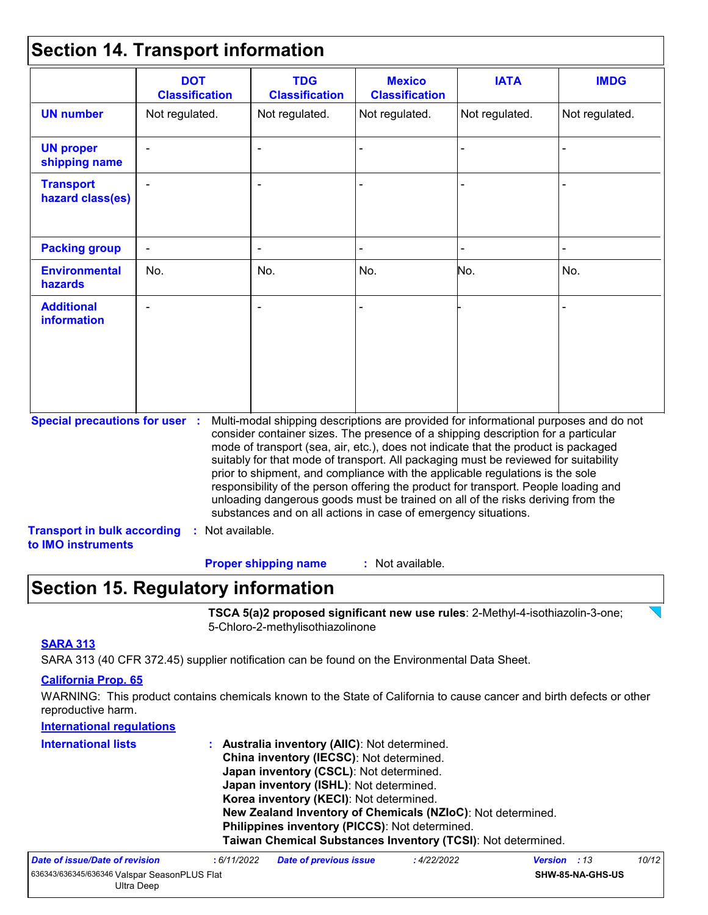### **Section 14. Transport information**

| <b>DOT</b><br><b>Classification</b> | <b>TDG</b><br><b>Classification</b>                                                               | <b>Mexico</b><br><b>Classification</b> | <b>IATA</b>    | <b>IMDG</b>                                                                                                                                                                                                                                                                                                                                                                                                                                                                                                                                                                                                                                                                         |
|-------------------------------------|---------------------------------------------------------------------------------------------------|----------------------------------------|----------------|-------------------------------------------------------------------------------------------------------------------------------------------------------------------------------------------------------------------------------------------------------------------------------------------------------------------------------------------------------------------------------------------------------------------------------------------------------------------------------------------------------------------------------------------------------------------------------------------------------------------------------------------------------------------------------------|
| Not regulated.                      | Not regulated.                                                                                    | Not regulated.                         | Not regulated. | Not regulated.                                                                                                                                                                                                                                                                                                                                                                                                                                                                                                                                                                                                                                                                      |
|                                     |                                                                                                   |                                        |                |                                                                                                                                                                                                                                                                                                                                                                                                                                                                                                                                                                                                                                                                                     |
|                                     |                                                                                                   |                                        |                |                                                                                                                                                                                                                                                                                                                                                                                                                                                                                                                                                                                                                                                                                     |
|                                     |                                                                                                   |                                        |                |                                                                                                                                                                                                                                                                                                                                                                                                                                                                                                                                                                                                                                                                                     |
| No.                                 | No.                                                                                               | No.                                    | No.            | No.                                                                                                                                                                                                                                                                                                                                                                                                                                                                                                                                                                                                                                                                                 |
|                                     |                                                                                                   |                                        |                |                                                                                                                                                                                                                                                                                                                                                                                                                                                                                                                                                                                                                                                                                     |
|                                     |                                                                                                   |                                        |                |                                                                                                                                                                                                                                                                                                                                                                                                                                                                                                                                                                                                                                                                                     |
|                                     | <b>Special precautions for user :</b><br><b>Transport in bulk according</b><br>to IMO instruments | : Not available.                       |                | Multi-modal shipping descriptions are provided for informational purposes and do not<br>consider container sizes. The presence of a shipping description for a particular<br>mode of transport (sea, air, etc.), does not indicate that the product is packaged<br>suitably for that mode of transport. All packaging must be reviewed for suitability<br>prior to shipment, and compliance with the applicable regulations is the sole<br>responsibility of the person offering the product for transport. People loading and<br>unloading dangerous goods must be trained on all of the risks deriving from the<br>substances and on all actions in case of emergency situations. |

### **Section 15. Regulatory information**

**TSCA 5(a)2 proposed significant new use rules**: 2-Methyl-4-isothiazolin-3-one; 5-Chloro-2-methylisothiazolinone

#### **SARA 313**

SARA 313 (40 CFR 372.45) supplier notification can be found on the Environmental Data Sheet.

#### **California Prop. 65**

WARNING: This product contains chemicals known to the State of California to cause cancer and birth defects or other reproductive harm.

| <b>International regulations</b> |                                                              |
|----------------------------------|--------------------------------------------------------------|
| <b>International lists</b>       | : Australia inventory (AIIC): Not determined.                |
|                                  | China inventory (IECSC): Not determined.                     |
|                                  | Japan inventory (CSCL): Not determined.                      |
|                                  | Japan inventory (ISHL): Not determined.                      |
|                                  | Korea inventory (KECI): Not determined.                      |
|                                  | New Zealand Inventory of Chemicals (NZIoC): Not determined.  |
|                                  | Philippines inventory (PICCS): Not determined.               |
|                                  | Taiwan Chemical Substances Inventory (TCSI): Not determined. |
|                                  |                                                              |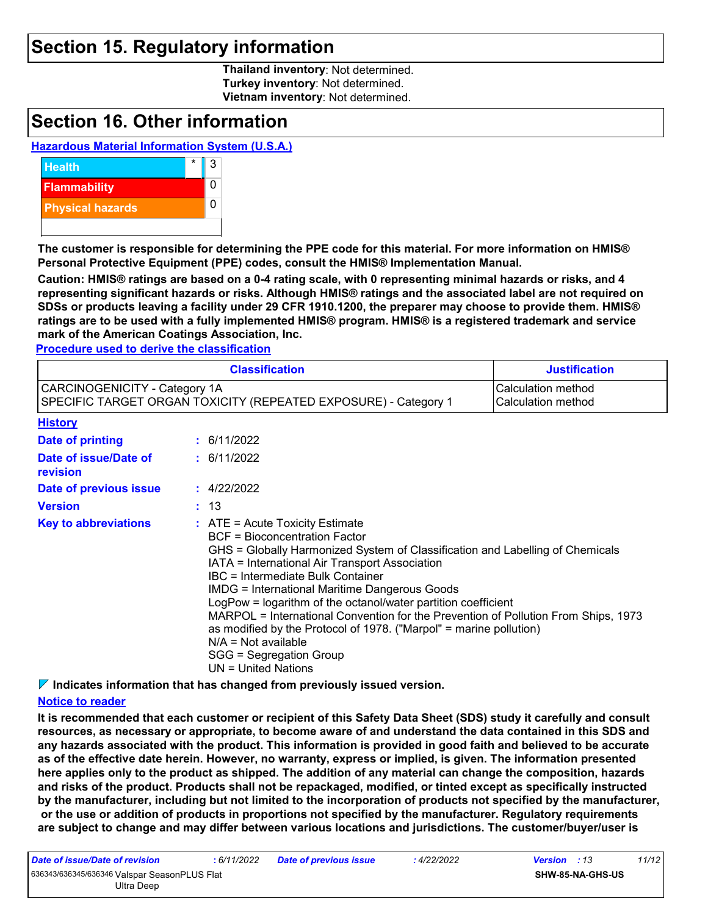### **Section 15. Regulatory information**

**Thailand inventory**: Not determined. **Turkey inventory**: Not determined. **Vietnam inventory**: Not determined.

### **Section 16. Other information**

#### **Hazardous Material Information System (U.S.A.)**



**The customer is responsible for determining the PPE code for this material. For more information on HMIS® Personal Protective Equipment (PPE) codes, consult the HMIS® Implementation Manual.**

**Caution: HMIS® ratings are based on a 0-4 rating scale, with 0 representing minimal hazards or risks, and 4 representing significant hazards or risks. Although HMIS® ratings and the associated label are not required on SDSs or products leaving a facility under 29 CFR 1910.1200, the preparer may choose to provide them. HMIS® ratings are to be used with a fully implemented HMIS® program. HMIS® is a registered trademark and service mark of the American Coatings Association, Inc.**

**Procedure used to derive the classification**

|                                                                                                  | <b>Justification</b> |                                                                                                                                                                                                                                                                                                                                                                                                                                                                                                                                                                                                                              |                                          |
|--------------------------------------------------------------------------------------------------|----------------------|------------------------------------------------------------------------------------------------------------------------------------------------------------------------------------------------------------------------------------------------------------------------------------------------------------------------------------------------------------------------------------------------------------------------------------------------------------------------------------------------------------------------------------------------------------------------------------------------------------------------------|------------------------------------------|
| CARCINOGENICITY - Category 1A<br>SPECIFIC TARGET ORGAN TOXICITY (REPEATED EXPOSURE) - Category 1 |                      |                                                                                                                                                                                                                                                                                                                                                                                                                                                                                                                                                                                                                              | Calculation method<br>Calculation method |
| <b>History</b>                                                                                   |                      |                                                                                                                                                                                                                                                                                                                                                                                                                                                                                                                                                                                                                              |                                          |
| <b>Date of printing</b>                                                                          |                      | : 6/11/2022                                                                                                                                                                                                                                                                                                                                                                                                                                                                                                                                                                                                                  |                                          |
| Date of issue/Date of<br>revision                                                                |                      | : 6/11/2022                                                                                                                                                                                                                                                                                                                                                                                                                                                                                                                                                                                                                  |                                          |
| Date of previous issue                                                                           |                      | : 4/22/2022                                                                                                                                                                                                                                                                                                                                                                                                                                                                                                                                                                                                                  |                                          |
| <b>Version</b>                                                                                   |                      | : 13                                                                                                                                                                                                                                                                                                                                                                                                                                                                                                                                                                                                                         |                                          |
| <b>Key to abbreviations</b>                                                                      |                      | $\therefore$ ATE = Acute Toxicity Estimate<br><b>BCF</b> = Bioconcentration Factor<br>GHS = Globally Harmonized System of Classification and Labelling of Chemicals<br>IATA = International Air Transport Association<br>IBC = Intermediate Bulk Container<br><b>IMDG = International Maritime Dangerous Goods</b><br>LogPow = logarithm of the octanol/water partition coefficient<br>MARPOL = International Convention for the Prevention of Pollution From Ships, 1973<br>as modified by the Protocol of 1978. ("Marpol" = marine pollution)<br>$N/A = Not available$<br>SGG = Segregation Group<br>$UN = United Nations$ |                                          |

**Indicates information that has changed from previously issued version.**

#### **Notice to reader**

**It is recommended that each customer or recipient of this Safety Data Sheet (SDS) study it carefully and consult resources, as necessary or appropriate, to become aware of and understand the data contained in this SDS and any hazards associated with the product. This information is provided in good faith and believed to be accurate as of the effective date herein. However, no warranty, express or implied, is given. The information presented here applies only to the product as shipped. The addition of any material can change the composition, hazards and risks of the product. Products shall not be repackaged, modified, or tinted except as specifically instructed by the manufacturer, including but not limited to the incorporation of products not specified by the manufacturer, or the use or addition of products in proportions not specified by the manufacturer. Regulatory requirements are subject to change and may differ between various locations and jurisdictions. The customer/buyer/user is** 

*Date of issue/Date of revision* **:** *6/11/2022 Date of previous issue : 4/22/2022 Version : 13 11/12* 636343/636345/636346 Valspar SeasonPLUS Flat Ultra Deep